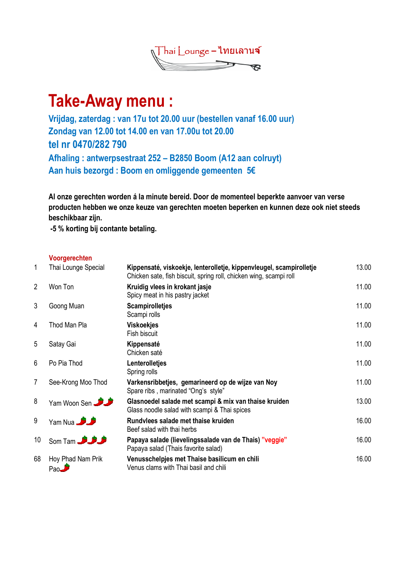

# Take-Away menu :

Vrijdag, zaterdag : van 17u tot 20.00 uur (bestellen vanaf 16.00 uur) Zondag van 12.00 tot 14.00 en van 17.00u tot 20.00 tel nr 0470/282 790 Afhaling : antwerpsestraat 252 – B2850 Boom (A12 aan colruyt) Aan huis bezorgd : Boom en omliggende gemeenten 5€

Al onze gerechten worden á la minute bereid. Door de momenteel beperkte aanvoer van verse producten hebben we onze keuze van gerechten moeten beperken en kunnen deze ook niet steeds beschikbaar zijn.

-5 % korting bij contante betaling.

## Voorgerechten

| 1              | Thai Lounge Special        | Kippensaté, viskoekje, lenterolletje, kippenvleugel, scampirolletje<br>Chicken sate, fish biscuit, spring roll, chicken wing, scampi roll | 13.00 |
|----------------|----------------------------|-------------------------------------------------------------------------------------------------------------------------------------------|-------|
| $\overline{2}$ | Won Ton                    | Kruidig vlees in krokant jasje<br>Spicy meat in his pastry jacket                                                                         | 11.00 |
| 3              | Goong Muan                 | <b>Scampirolletjes</b><br>Scampi rolls                                                                                                    | 11.00 |
| 4              | Thod Man Pla               | <b>Viskoekjes</b><br>Fish biscuit                                                                                                         | 11.00 |
| 5              | Satay Gai                  | Kippensaté<br>Chicken saté                                                                                                                | 11.00 |
| 6              | Po Pia Thod                | Lenterolletjes<br>Spring rolls                                                                                                            | 11.00 |
| 7              | See-Krong Moo Thod         | Varkensribbetjes, gemarineerd op de wijze van Noy<br>Spare ribs, marinated "Ong's style"                                                  | 11.00 |
| 8              | Yam Woon Sen               | Glasnoedel salade met scampi & mix van thaise kruiden<br>Glass noodle salad with scampi & Thai spices                                     | 13.00 |
| 9              | Yam Nua <b>3 3</b>         | Rundvlees salade met thaise kruiden<br>Beef salad with thai herbs                                                                         | 16.00 |
| 10             | Som Tam <b>3 3 3</b>       | Papaya salade (lievelingssalade van de Thais) "veggie"<br>Papaya salad (Thais favorite salad)                                             | 16.00 |
| 68             | Hoy Phad Nam Prik<br>Pao V | Venusschelpjes met Thaise basilicum en chili<br>Venus clams with Thai basil and chili                                                     | 16.00 |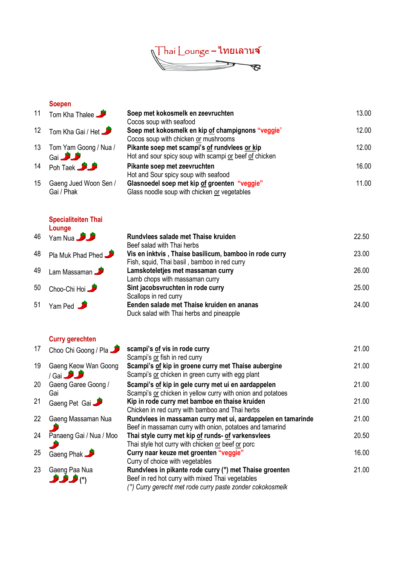

### Soepen

| 11 | Tom Kha Thalee                    |        |
|----|-----------------------------------|--------|
|    | 12 Tom Kha Gai / Het              | S<br>٢ |
|    | 13 Tom Yam Goong / Nua /<br>Gai S | F      |

- 14 Poh Taek Pikante soep met 2014 Poh Taek Pikante soep met zeevruchten met zeevruchten soep met 2014 Pohle<br>H
- 15 Gaeng Jued Woon Sen / Gai / Phak

## Specialiteiten Thai **Lounge**



## Curry gerechten

| 17 | Choo Chi Goong / Pla                      |
|----|-------------------------------------------|
| 19 | Gaeng Keow Wan Goong<br>88<br>$/$ Gai $-$ |
| 20 | Gaeng Garee Goong /<br>Gai                |
| 21 | Gaeng Pet Gai                             |
| 22 | Gaeng Massaman Nua                        |
| 24 | Panaeng Gai / Nua / Moo                   |
| 25 | Gaeng Phak                                |
|    |                                           |

|    | <b>OUGNEIL</b>        |                                                        |       |
|----|-----------------------|--------------------------------------------------------|-------|
| 11 | Tom Kha Thalee        | Soep met kokosmelk en zeevruchten                      | 13.00 |
|    |                       | Cocos soup with seafood                                |       |
|    | 12 Tom Kha Gai / Het  | Soep met kokosmelk en kip of champignons "veggie"      | 12.00 |
|    |                       | Cocos soup with chicken or mushrooms                   |       |
| 13 | Tom Yam Goong / Nua / | Pikante soep met scampi's of rundvlees or kip          | 12.00 |
|    | Gai <b>Card</b>       | Hot and sour spicy soup with scampi or beef of chicken |       |
| 14 | <b>Poh Taek</b>       | Pikante soep met zeevruchten                           | 16.00 |
|    |                       | Hot and Sour spicy soup with seafood                   |       |
| 15 | Gaeng Jued Woon Sen / | Glasnoedel soep met kip of groenten "veggie"           | 11.00 |
|    | Gai / Phak            | Glass noodle soup with chicken or vegetables           |       |
|    |                       |                                                        |       |

| Rundvlees salade met Thaise kruiden                    | 22.50 |
|--------------------------------------------------------|-------|
| Beef salad with Thai herbs                             |       |
| Vis en inktvis, Thaise basilicum, bamboo in rode curry | 23.00 |
| Fish, squid, Thai basil, bamboo in red curry           |       |
| Lamskoteletjes met massaman curry                      | 26.00 |
| Lamb chops with massaman curry                         |       |
| Sint jacobsvruchten in rode curry                      | 25.00 |
| Scallops in red curry                                  |       |
| Eenden salade met Thaise kruiden en ananas             | 24.00 |
| Duck salad with Thai herbs and pineapple               |       |

| 17 | Choo Chi Goong / Pla    | scampi's of vis in rode curry                                | 21.00 |
|----|-------------------------|--------------------------------------------------------------|-------|
|    |                         | Scampi's or fish in red curry                                |       |
| 19 | Gaeng Keow Wan Goong    | Scampi's of kip in groene curry met Thaise aubergine         | 21.00 |
|    | / Gai <b>3 3</b>        | Scampi's or chicken in green curry with egg plant            |       |
| 20 | Gaeng Garee Goong /     | Scampi's of kip in gele curry met ui en aardappelen          | 21.00 |
|    | Gai                     | Scampi's or chicken in yellow curry with onion and potatoes  |       |
| 21 | Gaeng Pet Gai           | Kip in rode curry met bamboe en thaise kruiden               | 21.00 |
|    |                         | Chicken in red curry with bamboo and Thai herbs              |       |
| 22 | Gaeng Massaman Nua      | Rundvlees in massaman curry met ui, aardappelen en tamarinde | 21.00 |
|    |                         | Beef in massaman curry with onion, potatoes and tamarind     |       |
| 24 | Panaeng Gai / Nua / Moo | Thai style curry met kip of runds- of varkensvlees           | 20.50 |
|    |                         | Thai style hot curry with chicken or beef or porc            |       |
| 25 | Gaeng Phak              | Curry naar keuze met groenten "veggie"                       | 16.00 |
|    |                         | Curry of choice with vegetables                              |       |
| 23 | Gaeng Paa Nua           | Rundvlees in pikante rode curry (°) met Thaise groenten      | 21.00 |
|    | ٥٩ فرقل                 | Beef in red hot curry with mixed Thai vegetables             |       |
|    |                         | (°) Curry gerecht met rode curry paste zonder cokokosmelk    |       |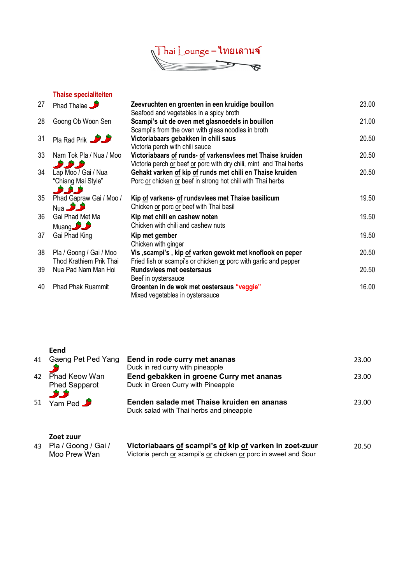

#### Thaise specialiteiten

| 27 | <b>Phad Thalae</b>       | Zeevruchten en groenten in een kruidige bouillon                   | 23.00 |
|----|--------------------------|--------------------------------------------------------------------|-------|
|    |                          | Seafood and vegetables in a spicy broth                            |       |
| 28 | Goong Ob Woon Sen        | Scampi's uit de oven met glasnoedels in bouillon                   | 21.00 |
|    |                          | Scampi's from the oven with glass noodles in broth                 |       |
| 31 | <b>Pla Rad Prik</b>      | Victoriabaars gebakken in chili saus                               | 20.50 |
|    |                          | Victoria perch with chili sauce                                    |       |
| 33 | Nam Tok Pla / Nua / Moo  | Victoriabaars of runds- of varkensvlees met Thaise kruiden         | 20.50 |
|    | نۇر ئۇرى                 | Victoria perch or beef or porc with dry chili, mint and Thai herbs |       |
| 34 | Lap Moo / Gai / Nua      | Gehakt varken of kip of runds met chili en Thaise kruiden          | 20.50 |
|    | "Chiang Mai Style"       | Porc or chicken or beef in strong hot chili with Thai herbs        |       |
|    | <b>Being the Co</b>      |                                                                    |       |
| 35 | Phad Gapraw Gai / Moo /  | Kip of varkens- of rundsvlees met Thaise basilicum                 | 19.50 |
|    | Nua <b>Judit</b>         | Chicken or porc or beef with Thai basil                            |       |
| 36 | Gai Phad Met Ma          | Kip met chili en cashew noten                                      | 19.50 |
|    | <b>Muang Draw</b>        | Chicken with chili and cashew nuts                                 |       |
| 37 | Gai Phad King            | Kip met gember                                                     | 19.50 |
|    |                          | Chicken with ginger                                                |       |
| 38 | Pla / Goong / Gai / Moo  | Vis, scampi's, kip of varken gewokt met knoflook en peper          | 20.50 |
|    | Thod Krathiem Prik Thai  | Fried fish or scampi's or chicken or porc with garlic and pepper   |       |
| 39 | Nua Pad Nam Man Hoi      | <b>Rundsvlees met oestersaus</b>                                   | 20.50 |
|    |                          |                                                                    |       |
|    |                          | Beef in oystersauce                                                |       |
| 40 | <b>Phad Phak Ruammit</b> | Groenten in de wok met oestersaus "veggie"                         | 16.00 |
|    |                          | Mixed vegetables in oystersauce                                    |       |

| ×<br>w<br>۰.<br>. .<br>× |
|--------------------------|
|--------------------------|

|    | ----                 |                                            |       |
|----|----------------------|--------------------------------------------|-------|
| 41 | Gaeng Pet Ped Yang   | Eend in rode curry met ananas              | 23.00 |
|    |                      | Duck in red curry with pineapple           |       |
| 42 | <b>Phad Keow Wan</b> | Eend gebakken in groene Curry met ananas   | 23.00 |
|    | <b>Phed Sapparot</b> | Duck in Green Curry with Pineapple         |       |
|    | ثلاثل                |                                            |       |
|    | 51 Yam Ped           | Eenden salade met Thaise kruiden en ananas | 23.00 |
|    |                      | Duck salad with Thai herbs and pineapple   |       |
|    |                      |                                            |       |
|    |                      |                                            |       |
|    | $7 - 1 - 1$          |                                            |       |

|     | Zoet zuur  |
|-----|------------|
| 43. | Pla / Goor |

| Pla / Goong / Gai / | Victoriabaars of scampi's of kip of varken in zoet-zuur         | 20.50 |
|---------------------|-----------------------------------------------------------------|-------|
| Moo Prew Wan        | Victoria perch or scampi's or chicken or porc in sweet and Sour |       |